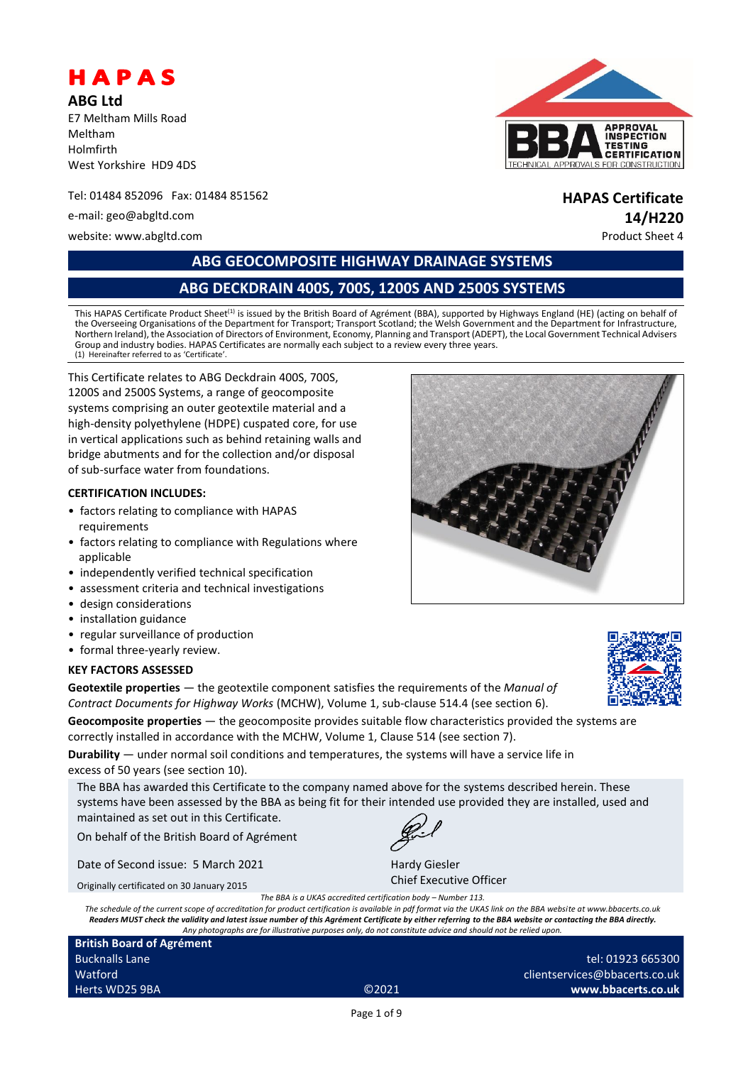

**ABG Ltd** E7 Meltham Mills Road Meltham Holmfirth West Yorkshire HD9 4DS

Tel: 01484 852096 Fax: 01484 851562 **HAPAS Certificate**

website: www.abgltd.com example of the example of the example of the example of the example of the example of the example of the example of the example of the example of the example of the example of the example of the exa



# e-mail: geo@abgltd.com **14/H220**

**ABG GEOCOMPOSITE HIGHWAY DRAINAGE SYSTEMS**

# **ABG DECKDRAIN 400S, 700S, 1200S AND 2500S SYSTEMS**

This HAPAS Certificate Product Sheet<sup>(1)</sup> is issued by the British Board of Agrément (BBA), supported by Highways England (HE) (acting on behalf of the Overseeing Organisations of the Department for Transport; Transport Scotland; the Welsh Government and the Department for Infrastructure, Northern Ireland), the Association of Directors of Environment, Economy, Planning and Transport (ADEPT), the Local Government Technical Advisers Group and industry bodies. HAPAS Certificates are normally each subject to a review every three years. (1) Hereinafter referred to as 'Certificate'.

This Certificate relates to ABG Deckdrain 400S, 700S, 1200S and 2500S Systems, a range of geocomposite systems comprising an outer geotextile material and a high-density polyethylene (HDPE) cuspated core, for use in vertical applications such as behind retaining walls and bridge abutments and for the collection and/or disposal of sub-surface water from foundations.

#### **CERTIFICATION INCLUDES:**

- factors relating to compliance with HAPAS requirements
- factors relating to compliance with Regulations where applicable
- independently verified technical specification
- assessment criteria and technical investigations
- design considerations
- installation guidance
- regular surveillance of production
- formal three-yearly review.

#### **KEY FACTORS ASSESSED**

**Geotextile properties** — the geotextile component satisfies the requirements of the *Manual of Contract Documents for Highway Works* (MCHW), Volume 1, sub-clause 514.4 (see section 6).

**Geocomposite properties** — the geocomposite provides suitable flow characteristics provided the systems are correctly installed in accordance with the MCHW, Volume 1, Clause 514 (see section 7).

**Durability** — under normal soil conditions and temperatures, the systems will have a service life in excess of 50 years (see section 10).

The BBA has awarded this Certificate to the company named above for the systems described herein. These systems have been assessed by the BBA as being fit for their intended use provided they are installed, used and maintained as set out in this Certificate.

On behalf of the British Board of Agrément

Date of Second issue: 5 March 2021

Originally certificated on 30 January 2015

*The BBA is a UKAS accredited certification body – Number 113.*

*The schedule of the current scope of accreditation for product certification is available in pdf format via the UKAS link on the BBA website at www.bbacerts.co.uk Readers MUST check the validity and latest issue number of this Agrément Certificate by either referring to the BBA website or contacting the BBA directly. Any photographs are for illustrative purposes only, do not constitute advice and should not be relied upon.*

**British Board of Agrément** Bucknalls Lane Watford Herts WD25 9BA ©2021

Chief Executive Officer

Hardy Giesler





tel: 01923 665300 clientservices@bbacerts.co.uk **www.bbacerts.co.uk**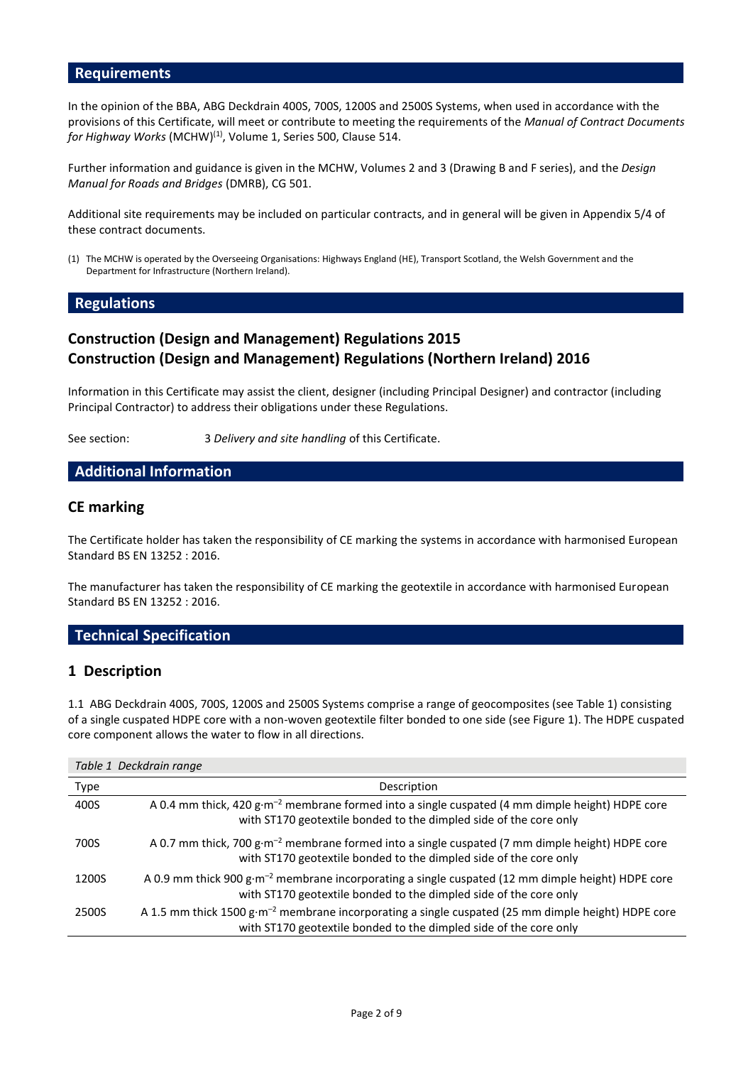#### **Requirements**

In the opinion of the BBA, ABG Deckdrain 400S, 700S, 1200S and 2500S Systems, when used in accordance with the provisions of this Certificate, will meet or contribute to meeting the requirements of the *Manual of Contract Documents for Highway Works* (MCHW) (1), Volume 1, Series 500, Clause 514.

Further information and guidance is given in the MCHW, Volumes 2 and 3 (Drawing B and F series), and the *Design Manual for Roads and Bridges* (DMRB), CG 501.

Additional site requirements may be included on particular contracts, and in general will be given in Appendix 5/4 of these contract documents.

(1) The MCHW is operated by the Overseeing Organisations: Highways England (HE), Transport Scotland, the Welsh Government and the Department for Infrastructure (Northern Ireland).

#### **Regulations**

# **Construction (Design and Management) Regulations 2015 Construction (Design and Management) Regulations (Northern Ireland) 2016**

Information in this Certificate may assist the client, designer (including Principal Designer) and contractor (including Principal Contractor) to address their obligations under these Regulations.

See section: 3 *Delivery and site handling* of this Certificate.

#### **Additional Information**

#### **CE marking**

The Certificate holder has taken the responsibility of CE marking the systems in accordance with harmonised European Standard BS EN 13252 : 2016.

The manufacturer has taken the responsibility of CE marking the geotextile in accordance with harmonised European Standard BS EN 13252 : 2016.

### **Technical Specification**

#### **1 Description**

1.1 ABG Deckdrain 400S, 700S, 1200S and 2500S Systems comprise a range of geocomposites (see Table 1) consisting of a single cuspated HDPE core with a non-woven geotextile filter bonded to one side (see Figure 1). The HDPE cuspated core component allows the water to flow in all directions.

#### *Table 1 Deckdrain range*

| Type  | Description                                                                                                                                                                         |
|-------|-------------------------------------------------------------------------------------------------------------------------------------------------------------------------------------|
| 400S  | A 0.4 mm thick, 420 g·m <sup>-2</sup> membrane formed into a single cuspated (4 mm dimple height) HDPE core<br>with ST170 geotextile bonded to the dimpled side of the core only    |
| 700S  | A 0.7 mm thick, 700 g·m <sup>-2</sup> membrane formed into a single cuspated (7 mm dimple height) HDPE core<br>with ST170 geotextile bonded to the dimpled side of the core only    |
| 1200S | A 0.9 mm thick 900 g·m <sup>-2</sup> membrane incorporating a single cuspated (12 mm dimple height) HDPE core<br>with ST170 geotextile bonded to the dimpled side of the core only  |
| 2500S | A 1.5 mm thick 1500 g·m <sup>-2</sup> membrane incorporating a single cuspated (25 mm dimple height) HDPE core<br>with ST170 geotextile bonded to the dimpled side of the core only |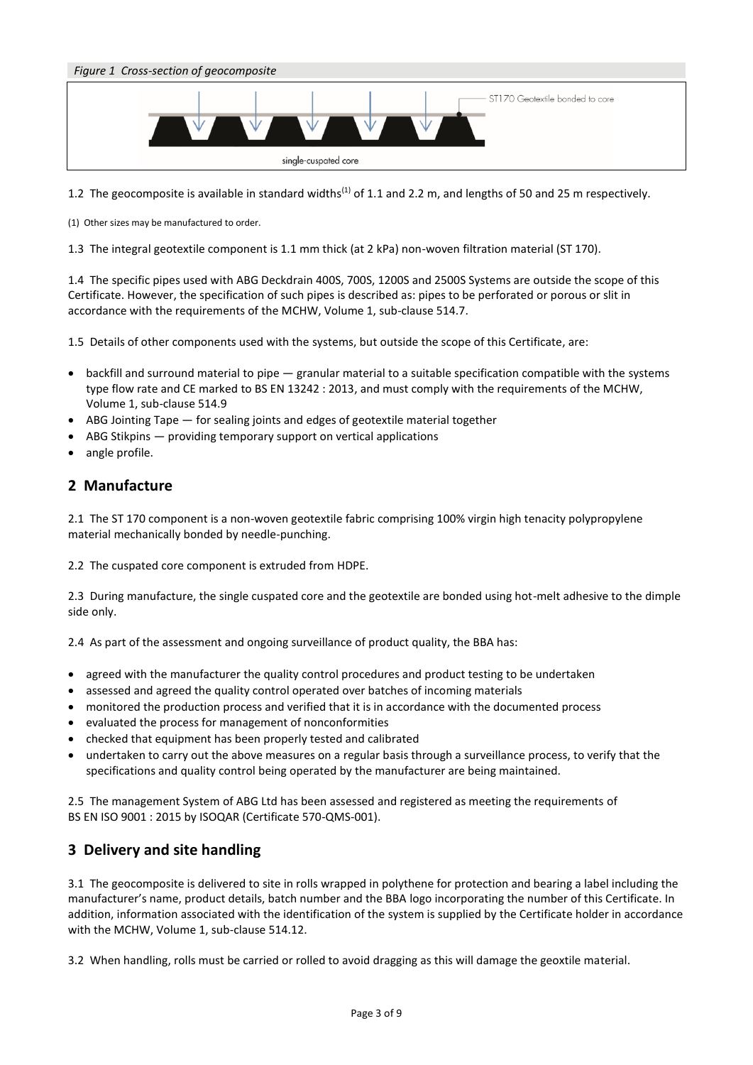

1.2 The geocomposite is available in standard widths<sup>(1)</sup> of 1.1 and 2.2 m, and lengths of 50 and 25 m respectively.

(1) Other sizes may be manufactured to order.

1.3 The integral geotextile component is 1.1 mm thick (at 2 kPa) non-woven filtration material (ST 170).

1.4 The specific pipes used with ABG Deckdrain 400S, 700S, 1200S and 2500S Systems are outside the scope of this Certificate. However, the specification of such pipes is described as: pipes to be perforated or porous or slit in accordance with the requirements of the MCHW, Volume 1, sub-clause 514.7.

1.5 Details of other components used with the systems, but outside the scope of this Certificate, are:

- backfill and surround material to pipe granular material to a suitable specification compatible with the systems type flow rate and CE marked to BS EN 13242 : 2013, and must comply with the requirements of the MCHW, Volume 1, sub-clause 514.9
- ABG Jointing Tape for sealing joints and edges of geotextile material together
- ABG Stikpins providing temporary support on vertical applications
- angle profile.

# **2 Manufacture**

2.1 The ST 170 component is a non-woven geotextile fabric comprising 100% virgin high tenacity polypropylene material mechanically bonded by needle-punching.

2.2 The cuspated core component is extruded from HDPE.

2.3 During manufacture, the single cuspated core and the geotextile are bonded using hot-melt adhesive to the dimple side only.

2.4 As part of the assessment and ongoing surveillance of product quality, the BBA has:

- agreed with the manufacturer the quality control procedures and product testing to be undertaken
- assessed and agreed the quality control operated over batches of incoming materials
- monitored the production process and verified that it is in accordance with the documented process
- evaluated the process for management of nonconformities
- checked that equipment has been properly tested and calibrated
- undertaken to carry out the above measures on a regular basis through a surveillance process, to verify that the specifications and quality control being operated by the manufacturer are being maintained.

2.5 The management System of ABG Ltd has been assessed and registered as meeting the requirements of BS EN ISO 9001 : 2015 by ISOQAR (Certificate 570-QMS-001).

# **3 Delivery and site handling**

3.1 The geocomposite is delivered to site in rolls wrapped in polythene for protection and bearing a label including the manufacturer's name, product details, batch number and the BBA logo incorporating the number of this Certificate. In addition, information associated with the identification of the system is supplied by the Certificate holder in accordance with the MCHW, Volume 1, sub-clause 514.12.

3.2 When handling, rolls must be carried or rolled to avoid dragging as this will damage the geoxtile material.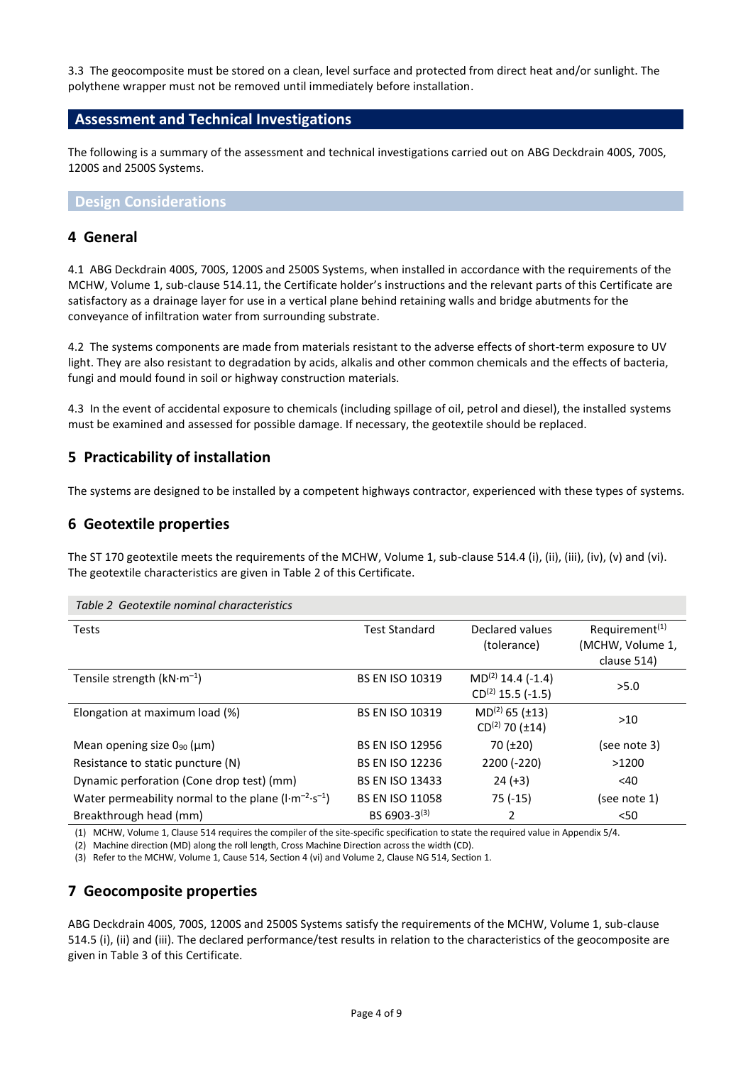3.3 The geocomposite must be stored on a clean, level surface and protected from direct heat and/or sunlight. The polythene wrapper must not be removed until immediately before installation.

#### **Assessment and Technical Investigations**

The following is a summary of the assessment and technical investigations carried out on ABG Deckdrain 400S, 700S, 1200S and 2500S Systems.

#### **Design Considerations**

### **4 General**

4.1 ABG Deckdrain 400S, 700S, 1200S and 2500S Systems, when installed in accordance with the requirements of the MCHW, Volume 1, sub-clause 514.11, the Certificate holder's instructions and the relevant parts of this Certificate are satisfactory as a drainage layer for use in a vertical plane behind retaining walls and bridge abutments for the conveyance of infiltration water from surrounding substrate.

4.2 The systems components are made from materials resistant to the adverse effects of short-term exposure to UV light. They are also resistant to degradation by acids, alkalis and other common chemicals and the effects of bacteria, fungi and mould found in soil or highway construction materials.

4.3 In the event of accidental exposure to chemicals (including spillage of oil, petrol and diesel), the installed systems must be examined and assessed for possible damage. If necessary, the geotextile should be replaced.

# **5 Practicability of installation**

The systems are designed to be installed by a competent highways contractor, experienced with these types of systems.

### **6 Geotextile properties**

The ST 170 geotextile meets the requirements of the MCHW, Volume 1, sub-clause 514.4 (i), (ii), (iii), (iv), (v) and (vi). The geotextile characteristics are given in Table 2 of this Certificate.

| Table 2 Geotextile nominal characteristics                             |                        |                                                 |                                                               |  |
|------------------------------------------------------------------------|------------------------|-------------------------------------------------|---------------------------------------------------------------|--|
| <b>Tests</b>                                                           | <b>Test Standard</b>   | Declared values<br>(tolerance)                  | Requirement <sup>(1)</sup><br>(MCHW, Volume 1,<br>clause 514) |  |
| Tensile strength $(kN·m-1)$                                            | <b>BS EN ISO 10319</b> | $MD(2) 14.4 (-1.4)$<br>$CD^{(2)}$ 15.5 (-1.5)   | >5.0                                                          |  |
| Elongation at maximum load (%)                                         | <b>BS EN ISO 10319</b> | $MD(2) 65 (\pm13)$<br>$CD^{(2)}$ 70 ( $\pm$ 14) | $>10$                                                         |  |
| Mean opening size $0_{90}$ ( $\mu$ m)                                  | <b>BS EN ISO 12956</b> | 70(.120)                                        | (see note 3)                                                  |  |
| Resistance to static puncture (N)                                      | <b>BS EN ISO 12236</b> | 2200 (-220)                                     | >1200                                                         |  |
| Dynamic perforation (Cone drop test) (mm)                              | <b>BS EN ISO 13433</b> | $24 (+3)$                                       | $<$ 40                                                        |  |
| Water permeability normal to the plane $(l \cdot m^{-2} \cdot s^{-1})$ | <b>BS EN ISO 11058</b> | $75(-15)$                                       | (see note 1)                                                  |  |
| Breakthrough head (mm)                                                 | BS 6903-3 $(3)$        | 2                                               | $50$                                                          |  |

(1) MCHW, Volume 1, Clause 514 requires the compiler of the site-specific specification to state the required value in Appendix 5/4.

(2) Machine direction (MD) along the roll length, Cross Machine Direction across the width (CD).

(3) Refer to the MCHW, Volume 1, Cause 514, Section 4 (vi) and Volume 2, Clause NG 514, Section 1.

# **7 Geocomposite properties**

ABG Deckdrain 400S, 700S, 1200S and 2500S Systems satisfy the requirements of the MCHW, Volume 1, sub-clause 514.5 (i), (ii) and (iii). The declared performance/test results in relation to the characteristics of the geocomposite are given in Table 3 of this Certificate.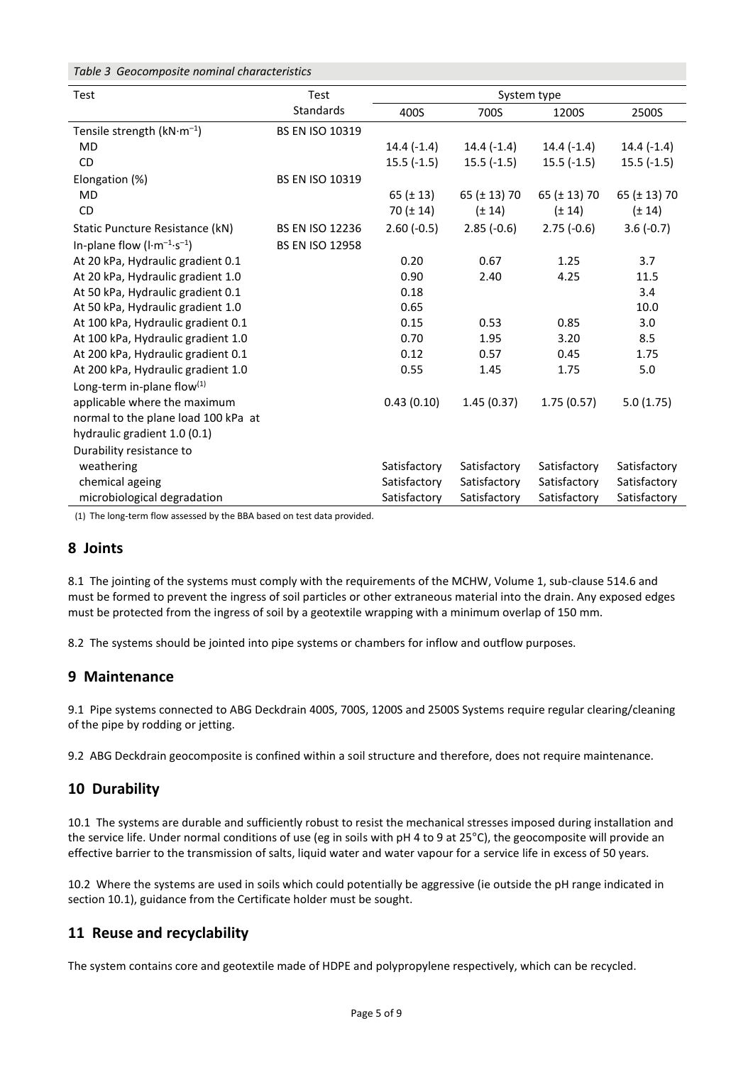|  | Table 3 Geocomposite nominal characteristics |  |  |
|--|----------------------------------------------|--|--|
|--|----------------------------------------------|--|--|

| Test                                          | <b>Test</b>            | System type    |                   |                   |                   |
|-----------------------------------------------|------------------------|----------------|-------------------|-------------------|-------------------|
|                                               | <b>Standards</b>       | 400S           | 700S              | 1200S             | 2500S             |
| Tensile strength $(kN·m-1)$                   | <b>BS EN ISO 10319</b> |                |                   |                   |                   |
| <b>MD</b>                                     |                        | $14.4(-1.4)$   | $14.4(-1.4)$      | $14.4(-1.4)$      | $14.4(-1.4)$      |
| <b>CD</b>                                     |                        | $15.5(-1.5)$   | $15.5(-1.5)$      | $15.5(-1.5)$      | $15.5(-1.5)$      |
| Elongation (%)                                | <b>BS EN ISO 10319</b> |                |                   |                   |                   |
| <b>MD</b>                                     |                        | 65 ( $\pm$ 13) | 65 ( $\pm$ 13) 70 | 65 ( $\pm$ 13) 70 | 65 ( $\pm$ 13) 70 |
| <b>CD</b>                                     |                        | $70 (\pm 14)$  | $(\pm 14)$        | $(\pm 14)$        | $(\pm 14)$        |
| Static Puncture Resistance (kN)               | <b>BS EN ISO 12236</b> | $2.60(-0.5)$   | $2.85(-0.6)$      | $2.75(-0.6)$      | $3.6(-0.7)$       |
| In-plane flow $(l \cdot m^{-1} \cdot s^{-1})$ | <b>BS EN ISO 12958</b> |                |                   |                   |                   |
| At 20 kPa, Hydraulic gradient 0.1             |                        | 0.20           | 0.67              | 1.25              | 3.7               |
| At 20 kPa, Hydraulic gradient 1.0             |                        | 0.90           | 2.40              | 4.25              | 11.5              |
| At 50 kPa, Hydraulic gradient 0.1             |                        | 0.18           |                   |                   | 3.4               |
| At 50 kPa, Hydraulic gradient 1.0             |                        | 0.65           |                   |                   | 10.0              |
| At 100 kPa, Hydraulic gradient 0.1            |                        | 0.15           | 0.53              | 0.85              | 3.0               |
| At 100 kPa, Hydraulic gradient 1.0            |                        | 0.70           | 1.95              | 3.20              | 8.5               |
| At 200 kPa, Hydraulic gradient 0.1            |                        | 0.12           | 0.57              | 0.45              | 1.75              |
| At 200 kPa, Hydraulic gradient 1.0            |                        | 0.55           | 1.45              | 1.75              | 5.0               |
| Long-term in-plane flow $(1)$                 |                        |                |                   |                   |                   |
| applicable where the maximum                  |                        | 0.43(0.10)     | 1.45(0.37)        | 1.75(0.57)        | 5.0(1.75)         |
| normal to the plane load 100 kPa at           |                        |                |                   |                   |                   |
| hydraulic gradient 1.0 (0.1)                  |                        |                |                   |                   |                   |
| Durability resistance to                      |                        |                |                   |                   |                   |
| weathering                                    |                        | Satisfactory   | Satisfactory      | Satisfactory      | Satisfactory      |
| chemical ageing                               |                        | Satisfactory   | Satisfactory      | Satisfactory      | Satisfactory      |
| microbiological degradation                   |                        | Satisfactory   | Satisfactory      | Satisfactory      | Satisfactory      |

(1) The long-term flow assessed by the BBA based on test data provided.

#### **8 Joints**

8.1 The jointing of the systems must comply with the requirements of the MCHW, Volume 1, sub-clause 514.6 and must be formed to prevent the ingress of soil particles or other extraneous material into the drain. Any exposed edges must be protected from the ingress of soil by a geotextile wrapping with a minimum overlap of 150 mm.

8.2 The systems should be jointed into pipe systems or chambers for inflow and outflow purposes.

# **9 Maintenance**

9.1 Pipe systems connected to ABG Deckdrain 400S, 700S, 1200S and 2500S Systems require regular clearing/cleaning of the pipe by rodding or jetting.

9.2 ABG Deckdrain geocomposite is confined within a soil structure and therefore, does not require maintenance.

# **10 Durability**

10.1 The systems are durable and sufficiently robust to resist the mechanical stresses imposed during installation and the service life. Under normal conditions of use (eg in soils with pH 4 to 9 at 25°C), the geocomposite will provide an effective barrier to the transmission of salts, liquid water and water vapour for a service life in excess of 50 years.

10.2 Where the systems are used in soils which could potentially be aggressive (ie outside the pH range indicated in section 10.1), guidance from the Certificate holder must be sought.

# **11 Reuse and recyclability**

The system contains core and geotextile made of HDPE and polypropylene respectively, which can be recycled.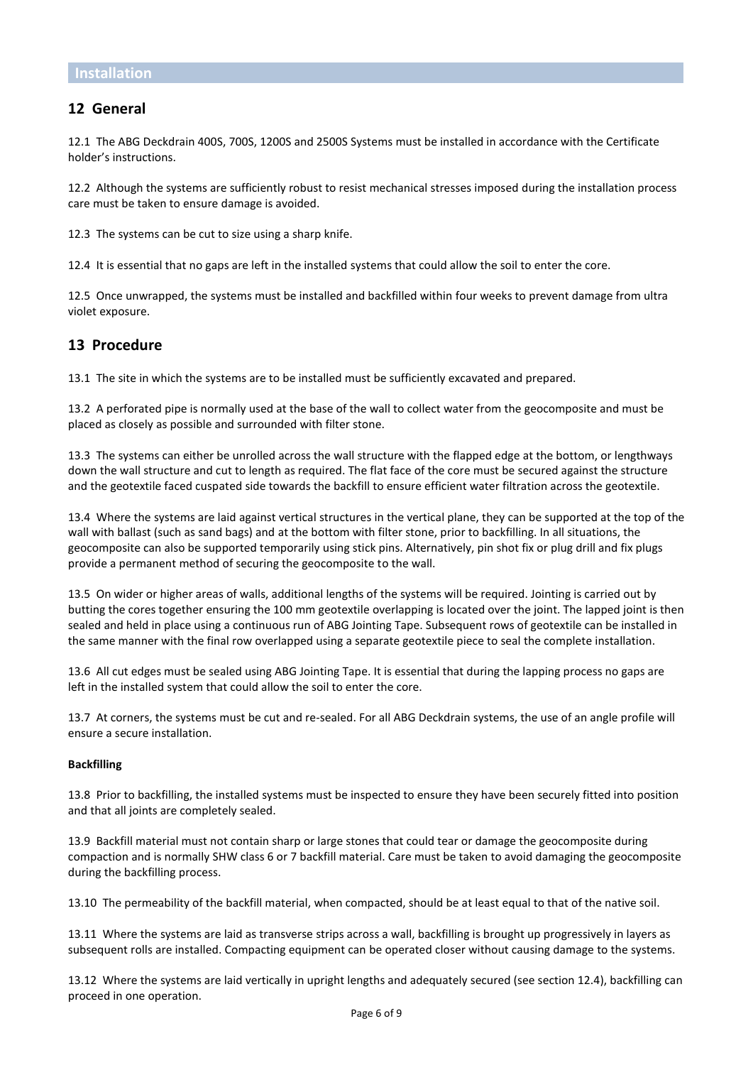# **12 General**

12.1 The ABG Deckdrain 400S, 700S, 1200S and 2500S Systems must be installed in accordance with the Certificate holder's instructions.

12.2 Although the systems are sufficiently robust to resist mechanical stresses imposed during the installation process care must be taken to ensure damage is avoided.

12.3 The systems can be cut to size using a sharp knife.

12.4 It is essential that no gaps are left in the installed systems that could allow the soil to enter the core.

12.5 Once unwrapped, the systems must be installed and backfilled within four weeks to prevent damage from ultra violet exposure.

# **13 Procedure**

13.1 The site in which the systems are to be installed must be sufficiently excavated and prepared.

13.2 A perforated pipe is normally used at the base of the wall to collect water from the geocomposite and must be placed as closely as possible and surrounded with filter stone.

13.3 The systems can either be unrolled across the wall structure with the flapped edge at the bottom, or lengthways down the wall structure and cut to length as required. The flat face of the core must be secured against the structure and the geotextile faced cuspated side towards the backfill to ensure efficient water filtration across the geotextile.

13.4 Where the systems are laid against vertical structures in the vertical plane, they can be supported at the top of the wall with ballast (such as sand bags) and at the bottom with filter stone, prior to backfilling. In all situations, the geocomposite can also be supported temporarily using stick pins. Alternatively, pin shot fix or plug drill and fix plugs provide a permanent method of securing the geocomposite to the wall.

13.5 On wider or higher areas of walls, additional lengths of the systems will be required. Jointing is carried out by butting the cores together ensuring the 100 mm geotextile overlapping is located over the joint. The lapped joint is then sealed and held in place using a continuous run of ABG Jointing Tape. Subsequent rows of geotextile can be installed in the same manner with the final row overlapped using a separate geotextile piece to seal the complete installation.

13.6 All cut edges must be sealed using ABG Jointing Tape. It is essential that during the lapping process no gaps are left in the installed system that could allow the soil to enter the core.

13.7 At corners, the systems must be cut and re-sealed. For all ABG Deckdrain systems, the use of an angle profile will ensure a secure installation.

#### **Backfilling**

13.8 Prior to backfilling, the installed systems must be inspected to ensure they have been securely fitted into position and that all joints are completely sealed.

13.9 Backfill material must not contain sharp or large stones that could tear or damage the geocomposite during compaction and is normally SHW class 6 or 7 backfill material. Care must be taken to avoid damaging the geocomposite during the backfilling process.

13.10 The permeability of the backfill material, when compacted, should be at least equal to that of the native soil.

13.11 Where the systems are laid as transverse strips across a wall, backfilling is brought up progressively in layers as subsequent rolls are installed. Compacting equipment can be operated closer without causing damage to the systems.

13.12 Where the systems are laid vertically in upright lengths and adequately secured (see section 12.4), backfilling can proceed in one operation.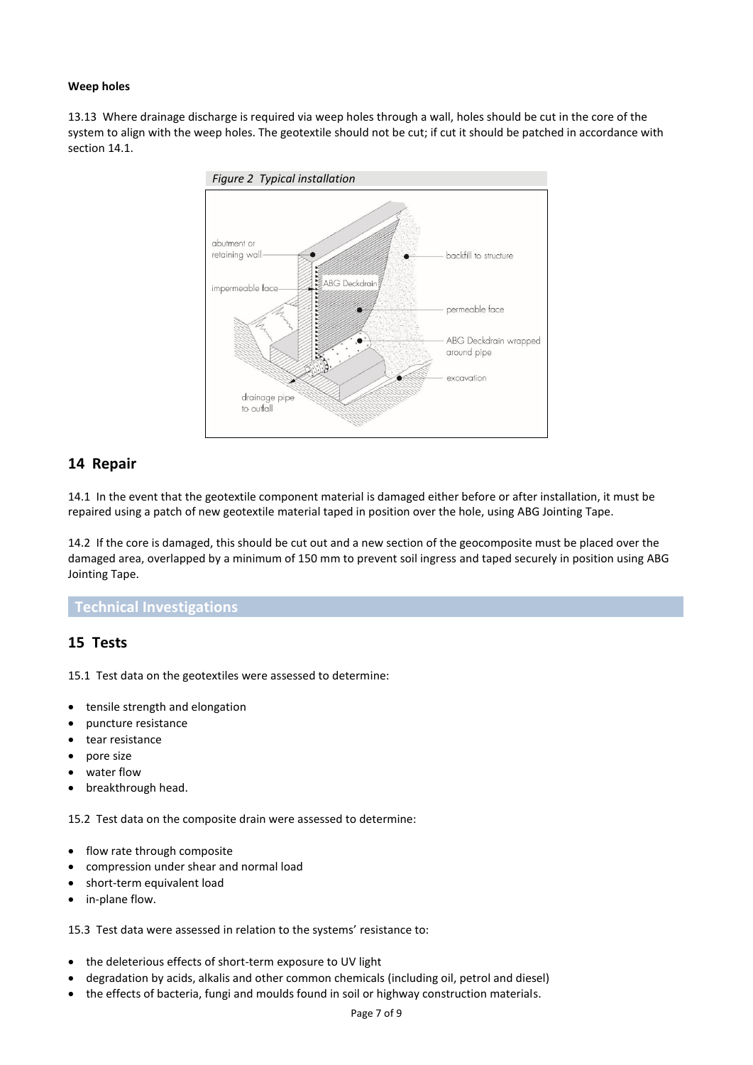#### **Weep holes**

13.13 Where drainage discharge is required via weep holes through a wall, holes should be cut in the core of the system to align with the weep holes. The geotextile should not be cut; if cut it should be patched in accordance with section 14.1.



# **14 Repair**

14.1 In the event that the geotextile component material is damaged either before or after installation, it must be repaired using a patch of new geotextile material taped in position over the hole, using ABG Jointing Tape.

14.2 If the core is damaged, this should be cut out and a new section of the geocomposite must be placed over the damaged area, overlapped by a minimum of 150 mm to prevent soil ingress and taped securely in position using ABG Jointing Tape.

#### **Technical Investigations**

# **15 Tests**

15.1 Test data on the geotextiles were assessed to determine:

- tensile strength and elongation
- puncture resistance
- tear resistance
- pore size
- water flow
- breakthrough head.

15.2 Test data on the composite drain were assessed to determine:

- flow rate through composite
- compression under shear and normal load
- short-term equivalent load
- in-plane flow.

15.3 Test data were assessed in relation to the systems' resistance to:

- the deleterious effects of short-term exposure to UV light
- degradation by acids, alkalis and other common chemicals (including oil, petrol and diesel)
- the effects of bacteria, fungi and moulds found in soil or highway construction materials.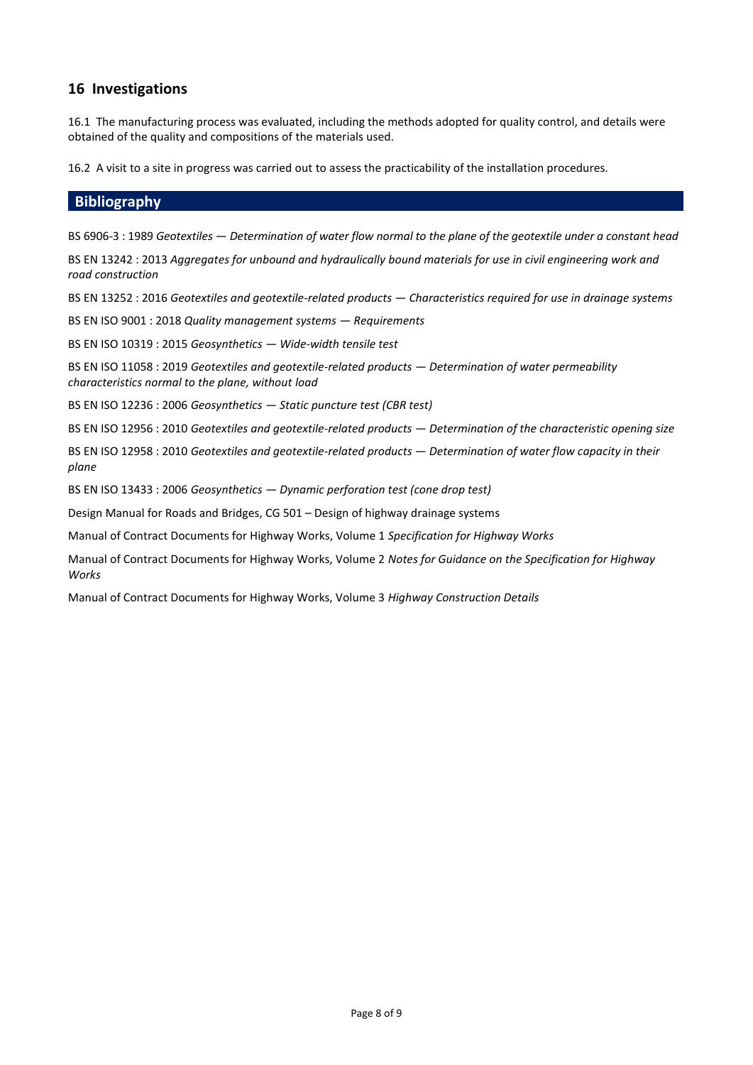# **16 Investigations**

16.1 The manufacturing process was evaluated, including the methods adopted for quality control, and details were obtained of the quality and compositions of the materials used.

16.2 A visit to a site in progress was carried out to assess the practicability of the installation procedures.

#### **Bibliography**

BS 6906-3 : 1989 *Geotextiles — Determination of water flow normal to the plane of the geotextile under a constant head*

BS EN 13242 : 2013 *Aggregates for unbound and hydraulically bound materials for use in civil engineering work and road construction*

BS EN 13252 : 2016 *Geotextiles and geotextile-related products — Characteristics required for use in drainage systems*

BS EN ISO 9001 : 2018 *Quality management systems — Requirements*

BS EN ISO 10319 : 2015 *Geosynthetics — Wide-width tensile test*

BS EN ISO 11058 : 2019 *Geotextiles and geotextile-related products — Determination of water permeability characteristics normal to the plane, without load*

BS EN ISO 12236 : 2006 *Geosynthetics — Static puncture test (CBR test)*

BS EN ISO 12956 : 2010 *Geotextiles and geotextile-related products — Determination of the characteristic opening size*

BS EN ISO 12958 : 2010 *Geotextiles and geotextile-related products — Determination of water flow capacity in their plane*

BS EN ISO 13433 : 2006 *Geosynthetics — Dynamic perforation test (cone drop test)*

Design Manual for Roads and Bridges, CG 501 – Design of highway drainage systems

Manual of Contract Documents for Highway Works, Volume 1 *Specification for Highway Works*

Manual of Contract Documents for Highway Works, Volume 2 *Notes for Guidance on the Specification for Highway Works*

Manual of Contract Documents for Highway Works, Volume 3 *Highway Construction Details*